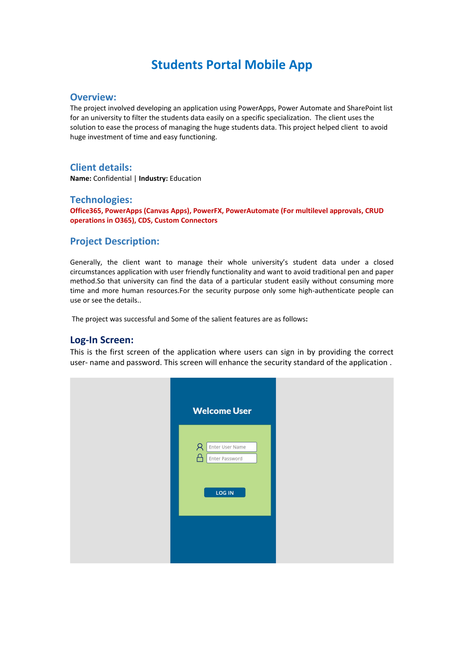# **Students Portal Mobile App**

#### **Overview:**

The project involved developing an application using PowerApps, Power Automate and SharePoint list for an university to filter the students data easily on a specific specialization. The client uses the solution to ease the process of managing the huge students data. This project helped client to avoid huge investment of time and easy functioning.

## **Client details:**

**Name:** Confidential | **Industry:** Education

### **Technologies:**

**Office365, PowerApps (Canvas Apps), PowerFX, PowerAutomate (For multilevel approvals, CRUD operations in O365), CDS, Custom Connectors**

## **Project Description:**

Generally, the client want to manage their whole university's student data under a closed circumstances application with user friendly functionality and want to avoid traditional pen and paper method.So that university can find the data of a particular student easily without consuming more time and more human resources.For the security purpose only some high-authenticate people can use or see the details..

The project was successful and Some of the salient features are as follows**:**

#### **Log-In Screen:**

This is the first screen of the application where users can sign in by providing the correct user- name and password. This screen will enhance the security standard of the application .

| <b>Welcome User</b>                                         |
|-------------------------------------------------------------|
| $\beta$<br>Enter User Name<br>А<br>Enter Password<br>LOG IN |
|                                                             |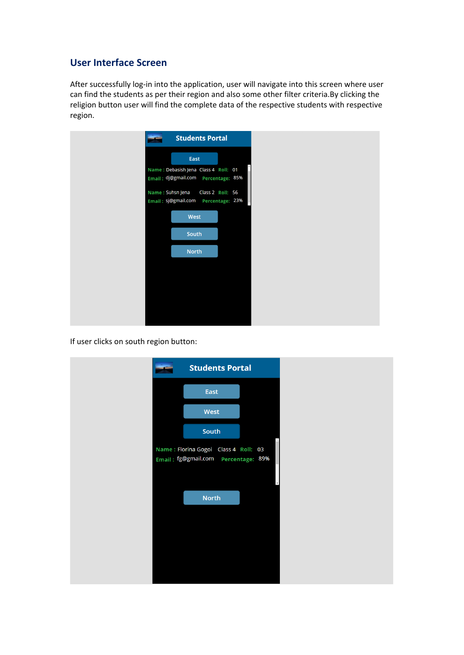# **User Interface Screen**

After successfully log-in into the application, user will navigate into this screen where user can find the students as per their region and also some other filter criteria.By clicking the religion button user will find the complete data of the respective students with respective region.

|                  | <b>Students Portal</b>                                  |  |
|------------------|---------------------------------------------------------|--|
|                  | East                                                    |  |
|                  | Name: Debasish Jena Class 4 Roll: 01                    |  |
|                  | Email: dj@gmail.com Percentage: 85%                     |  |
| Name: Suhsn Jena | Class 2 Roll: 56<br>Email: sj@gmail.com Percentage: 23% |  |
|                  | West                                                    |  |
|                  | South                                                   |  |
|                  |                                                         |  |
|                  | <b>North</b>                                            |  |
|                  |                                                         |  |
|                  |                                                         |  |
|                  |                                                         |  |
|                  |                                                         |  |

If user clicks on south region button:

| <b>Students Portal</b>                                                         |  |
|--------------------------------------------------------------------------------|--|
| East                                                                           |  |
| West                                                                           |  |
| <b>South</b>                                                                   |  |
| Name: Florina Gogoi Class 4 Roll: 03<br>Email: fg@gmail.com    Percentage: 89% |  |
| <b>North</b>                                                                   |  |
|                                                                                |  |
|                                                                                |  |
|                                                                                |  |
|                                                                                |  |